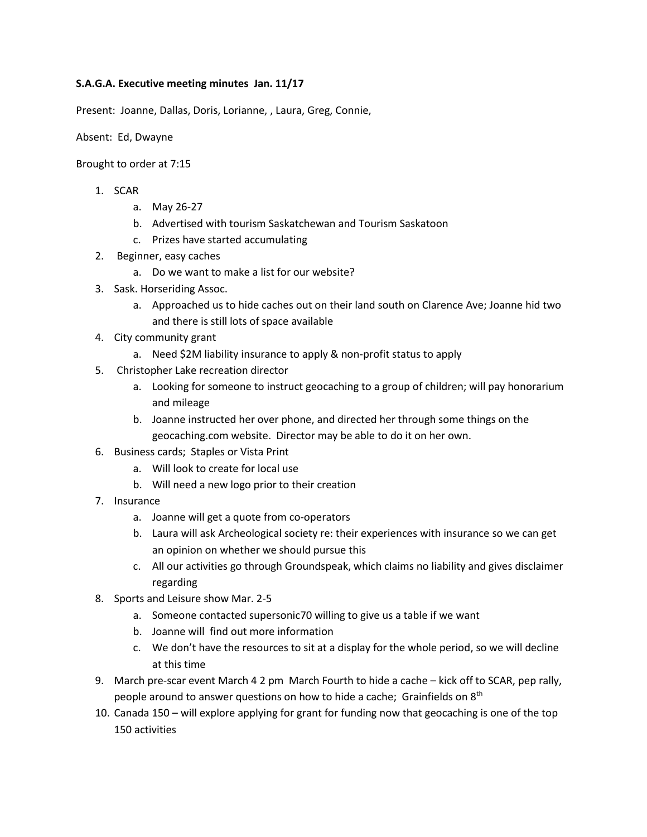## **S.A.G.A. Executive meeting minutes Jan. 11/17**

Present: Joanne, Dallas, Doris, Lorianne, , Laura, Greg, Connie,

Absent: Ed, Dwayne

Brought to order at 7:15

- 1. SCAR
	- a. May 26-27
	- b. Advertised with tourism Saskatchewan and Tourism Saskatoon
	- c. Prizes have started accumulating
- 2. Beginner, easy caches
	- a. Do we want to make a list for our website?
- 3. Sask. Horseriding Assoc.
	- a. Approached us to hide caches out on their land south on Clarence Ave; Joanne hid two and there is still lots of space available
- 4. City community grant
	- a. Need \$2M liability insurance to apply & non-profit status to apply
- 5. Christopher Lake recreation director
	- a. Looking for someone to instruct geocaching to a group of children; will pay honorarium and mileage
	- b. Joanne instructed her over phone, and directed her through some things on the geocaching.com website. Director may be able to do it on her own.
- 6. Business cards; Staples or Vista Print
	- a. Will look to create for local use
	- b. Will need a new logo prior to their creation
- 7. Insurance
	- a. Joanne will get a quote from co-operators
	- b. Laura will ask Archeological society re: their experiences with insurance so we can get an opinion on whether we should pursue this
	- c. All our activities go through Groundspeak, which claims no liability and gives disclaimer regarding
- 8. Sports and Leisure show Mar. 2-5
	- a. Someone contacted supersonic70 willing to give us a table if we want
	- b. Joanne will find out more information
	- c. We don't have the resources to sit at a display for the whole period, so we will decline at this time
- 9. March pre-scar event March 4 2 pm March Fourth to hide a cache kick off to SCAR, pep rally, people around to answer questions on how to hide a cache; Grainfields on  $8<sup>th</sup>$
- 10. Canada 150 will explore applying for grant for funding now that geocaching is one of the top 150 activities